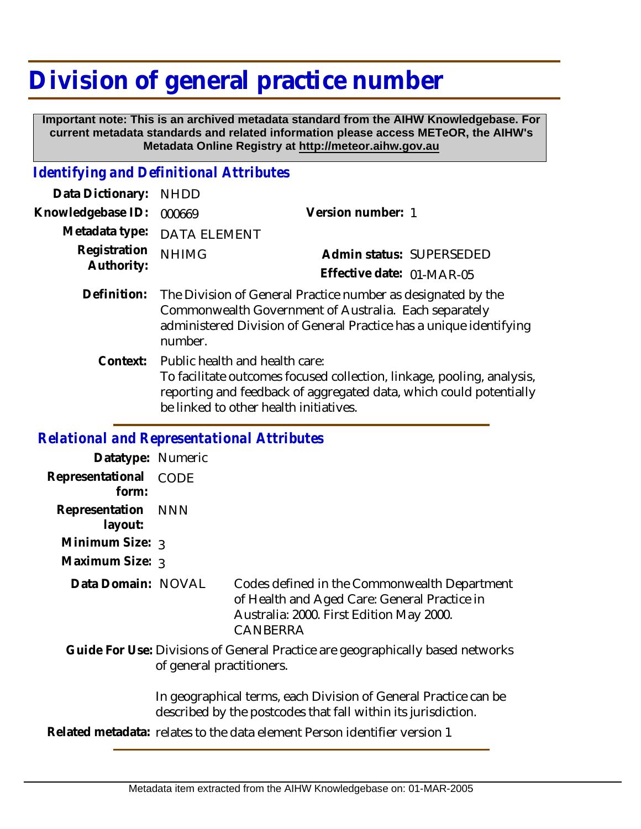## **Division of general practice number**

 **Important note: This is an archived metadata standard from the AIHW Knowledgebase. For current metadata standards and related information please access METeOR, the AIHW's Metadata Online Registry at http://meteor.aihw.gov.au**

## *Identifying and Definitional Attributes*

| Data Dictionary: NHDD      |                                                                                                                                                                                                        |                           |                          |
|----------------------------|--------------------------------------------------------------------------------------------------------------------------------------------------------------------------------------------------------|---------------------------|--------------------------|
| Knowledgebase ID:          | 000669                                                                                                                                                                                                 | Version number: 1         |                          |
|                            | Metadata type: DATA ELEMENT                                                                                                                                                                            |                           |                          |
| Registration<br>Authority: | <b>NHIMG</b>                                                                                                                                                                                           |                           | Admin status: SUPERSEDED |
|                            |                                                                                                                                                                                                        | Effective date: 01-MAR-05 |                          |
| Definition:                | The Division of General Practice number as designated by the<br>Commonwealth Government of Australia. Each separately<br>administered Division of General Practice has a unique identifying<br>number. |                           |                          |

Context: Public health and health care: To facilitate outcomes focused collection, linkage, pooling, analysis, reporting and feedback of aggregated data, which could potentially be linked to other health initiatives.

## *Relational and Representational Attributes*

| Datatype: Numeric              |                                                                                                             |                                                                                                                                                      |  |
|--------------------------------|-------------------------------------------------------------------------------------------------------------|------------------------------------------------------------------------------------------------------------------------------------------------------|--|
| Representational CODE<br>form: |                                                                                                             |                                                                                                                                                      |  |
| Representation NNN<br>layout:  |                                                                                                             |                                                                                                                                                      |  |
| Minimum Size: 3                |                                                                                                             |                                                                                                                                                      |  |
| Maximum Size: 3                |                                                                                                             |                                                                                                                                                      |  |
| Data Domain: NOVAL             |                                                                                                             | Codes defined in the Commonwealth Department<br>of Health and Aged Care: General Practice in<br>Australia: 2000. First Edition May 2000.<br>CANBERRA |  |
|                                | Guide For Use: Divisions of General Practice are geographically based networks<br>of general practitioners. |                                                                                                                                                      |  |
|                                |                                                                                                             | In geographical terms, each Division of General Practice can be<br>described by the postcodes that fall within its jurisdiction.                     |  |

**Related metadata:** relates to the data element Person identifier version 1